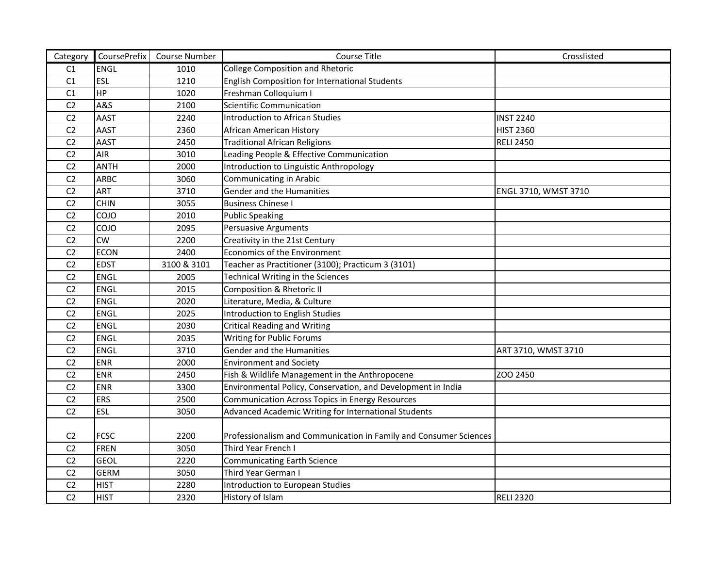| Category       | CoursePrefix   | <b>Course Number</b> | Course Title                                                      | Crosslisted          |
|----------------|----------------|----------------------|-------------------------------------------------------------------|----------------------|
| C1             | <b>ENGL</b>    | 1010                 | College Composition and Rhetoric                                  |                      |
| C1             | ESL            | 1210                 | English Composition for International Students                    |                      |
| C <sub>1</sub> | HP             | 1020                 | Freshman Colloquium I                                             |                      |
| C <sub>2</sub> | <b>A&amp;S</b> | 2100                 | Scientific Communication                                          |                      |
| C <sub>2</sub> | <b>AAST</b>    | 2240                 | Introduction to African Studies                                   | <b>INST 2240</b>     |
| C <sub>2</sub> | <b>AAST</b>    | 2360                 | African American History                                          | <b>HIST 2360</b>     |
| C <sub>2</sub> | <b>AAST</b>    | 2450                 | <b>Traditional African Religions</b>                              | <b>RELI 2450</b>     |
| C <sub>2</sub> | <b>AIR</b>     | 3010                 | Leading People & Effective Communication                          |                      |
| C <sub>2</sub> | <b>ANTH</b>    | 2000                 | Introduction to Linguistic Anthropology                           |                      |
| C <sub>2</sub> | <b>ARBC</b>    | 3060                 | Communicating in Arabic                                           |                      |
| C <sub>2</sub> | <b>ART</b>     | 3710                 | Gender and the Humanities                                         | ENGL 3710, WMST 3710 |
| C <sub>2</sub> | <b>CHIN</b>    | 3055                 | <b>Business Chinese I</b>                                         |                      |
| C <sub>2</sub> | COJO           | 2010                 | Public Speaking                                                   |                      |
| C <sub>2</sub> | COJO           | 2095                 | <b>Persuasive Arguments</b>                                       |                      |
| C <sub>2</sub> | CW             | 2200                 | Creativity in the 21st Century                                    |                      |
| C <sub>2</sub> | <b>ECON</b>    | 2400                 | Economics of the Environment                                      |                      |
| C <sub>2</sub> | <b>EDST</b>    | 3100 & 3101          | Teacher as Practitioner (3100); Practicum 3 (3101)                |                      |
| C <sub>2</sub> | <b>ENGL</b>    | 2005                 | <b>Technical Writing in the Sciences</b>                          |                      |
| C <sub>2</sub> | <b>ENGL</b>    | 2015                 | <b>Composition &amp; Rhetoric II</b>                              |                      |
| C <sub>2</sub> | <b>ENGL</b>    | 2020                 | Literature, Media, & Culture                                      |                      |
| C <sub>2</sub> | <b>ENGL</b>    | 2025                 | Introduction to English Studies                                   |                      |
| C <sub>2</sub> | <b>ENGL</b>    | 2030                 | <b>Critical Reading and Writing</b>                               |                      |
| C <sub>2</sub> | <b>ENGL</b>    | 2035                 | <b>Writing for Public Forums</b>                                  |                      |
| C <sub>2</sub> | <b>ENGL</b>    | 3710                 | Gender and the Humanities                                         | ART 3710, WMST 3710  |
| C <sub>2</sub> | <b>ENR</b>     | 2000                 | <b>Environment and Society</b>                                    |                      |
| C <sub>2</sub> | <b>ENR</b>     | 2450                 | Fish & Wildlife Management in the Anthropocene                    | ZOO 2450             |
| C <sub>2</sub> | <b>ENR</b>     | 3300                 | Environmental Policy, Conservation, and Development in India      |                      |
| C <sub>2</sub> | <b>ERS</b>     | 2500                 | Communication Across Topics in Energy Resources                   |                      |
| C <sub>2</sub> | <b>ESL</b>     | 3050                 | Advanced Academic Writing for International Students              |                      |
|                |                |                      |                                                                   |                      |
| C <sub>2</sub> | <b>FCSC</b>    | 2200                 | Professionalism and Communication in Family and Consumer Sciences |                      |
| C <sub>2</sub> | <b>FREN</b>    | 3050                 | Third Year French I                                               |                      |
| C <sub>2</sub> | <b>GEOL</b>    | 2220                 | <b>Communicating Earth Science</b>                                |                      |
| C <sub>2</sub> | <b>GERM</b>    | 3050                 | Third Year German I                                               |                      |
| C <sub>2</sub> | <b>HIST</b>    | 2280                 | Introduction to European Studies                                  |                      |
| C <sub>2</sub> | <b>HIST</b>    | 2320                 | History of Islam                                                  | <b>RELI 2320</b>     |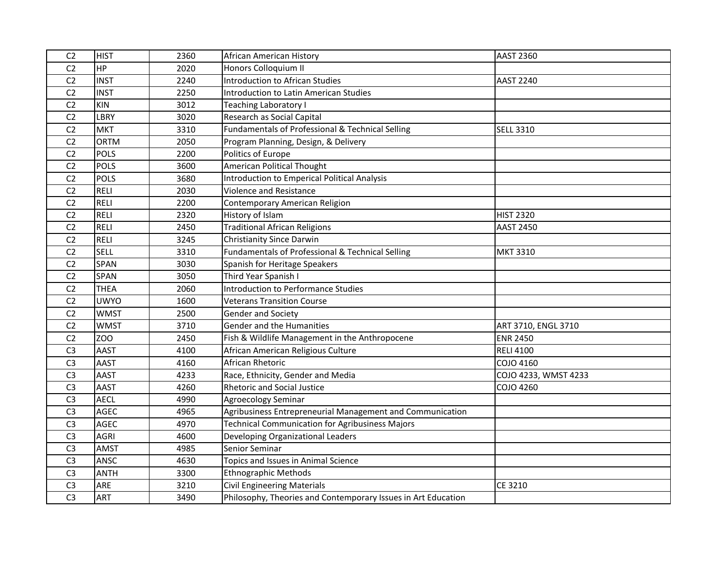| C <sub>2</sub> | <b>HIST</b> | 2360 | African American History                                      | <b>AAST 2360</b>     |
|----------------|-------------|------|---------------------------------------------------------------|----------------------|
| C <sub>2</sub> | <b>HP</b>   | 2020 | Honors Colloquium II                                          |                      |
| C <sub>2</sub> | <b>INST</b> | 2240 | Introduction to African Studies                               | <b>AAST 2240</b>     |
| C <sub>2</sub> | <b>INST</b> | 2250 | <b>Introduction to Latin American Studies</b>                 |                      |
| C <sub>2</sub> | <b>KIN</b>  | 3012 | <b>Teaching Laboratory I</b>                                  |                      |
| C <sub>2</sub> | <b>LBRY</b> | 3020 | Research as Social Capital                                    |                      |
| C <sub>2</sub> | <b>MKT</b>  | 3310 | Fundamentals of Professional & Technical Selling              | <b>SELL 3310</b>     |
| C <sub>2</sub> | <b>ORTM</b> | 2050 | Program Planning, Design, & Delivery                          |                      |
| C <sub>2</sub> | <b>POLS</b> | 2200 | Politics of Europe                                            |                      |
| C <sub>2</sub> | <b>POLS</b> | 3600 | American Political Thought                                    |                      |
| C <sub>2</sub> | <b>POLS</b> | 3680 | Introduction to Emperical Political Analysis                  |                      |
| C <sub>2</sub> | <b>RELI</b> | 2030 | <b>Violence and Resistance</b>                                |                      |
| C <sub>2</sub> | <b>RELI</b> | 2200 | Contemporary American Religion                                |                      |
| C <sub>2</sub> | <b>RELI</b> | 2320 | History of Islam                                              | <b>HIST 2320</b>     |
| C <sub>2</sub> | <b>RELI</b> | 2450 | <b>Traditional African Religions</b>                          | <b>AAST 2450</b>     |
| C <sub>2</sub> | <b>RELI</b> | 3245 | <b>Christianity Since Darwin</b>                              |                      |
| C <sub>2</sub> | <b>SELL</b> | 3310 | Fundamentals of Professional & Technical Selling              | <b>MKT 3310</b>      |
| C <sub>2</sub> | <b>SPAN</b> | 3030 | Spanish for Heritage Speakers                                 |                      |
| C <sub>2</sub> | <b>SPAN</b> | 3050 | Third Year Spanish I                                          |                      |
| C <sub>2</sub> | <b>THEA</b> | 2060 | Introduction to Performance Studies                           |                      |
| C <sub>2</sub> | <b>UWYO</b> | 1600 | Veterans Transition Course                                    |                      |
| C <sub>2</sub> | <b>WMST</b> | 2500 | <b>Gender and Society</b>                                     |                      |
| C <sub>2</sub> | <b>WMST</b> | 3710 | <b>Gender and the Humanities</b>                              | ART 3710, ENGL 3710  |
| C <sub>2</sub> | ZOO         | 2450 | Fish & Wildlife Management in the Anthropocene                | <b>ENR 2450</b>      |
| C <sub>3</sub> | <b>AAST</b> | 4100 | African American Religious Culture                            | <b>RELI 4100</b>     |
| C <sub>3</sub> | <b>AAST</b> | 4160 | African Rhetoric                                              | COJO 4160            |
| C <sub>3</sub> | <b>AAST</b> | 4233 | Race, Ethnicity, Gender and Media                             | COJO 4233, WMST 4233 |
| C <sub>3</sub> | <b>AAST</b> | 4260 | <b>Rhetoric and Social Justice</b>                            | <b>COJO 4260</b>     |
| C <sub>3</sub> | <b>AECL</b> | 4990 | <b>Agroecology Seminar</b>                                    |                      |
| C <sub>3</sub> | <b>AGEC</b> | 4965 | Agribusiness Entrepreneurial Management and Communication     |                      |
| C <sub>3</sub> | <b>AGEC</b> | 4970 | <b>Technical Communication for Agribusiness Majors</b>        |                      |
| C <sub>3</sub> | <b>AGRI</b> | 4600 | Developing Organizational Leaders                             |                      |
| C <sub>3</sub> | <b>AMST</b> | 4985 | Senior Seminar                                                |                      |
| C <sub>3</sub> | ANSC        | 4630 | Topics and Issues in Animal Science                           |                      |
| C <sub>3</sub> | <b>ANTH</b> | 3300 | Ethnographic Methods                                          |                      |
| C <sub>3</sub> | <b>ARE</b>  | 3210 | <b>Civil Engineering Materials</b>                            | CE 3210              |
| C <sub>3</sub> | <b>ART</b>  | 3490 | Philosophy, Theories and Contemporary Issues in Art Education |                      |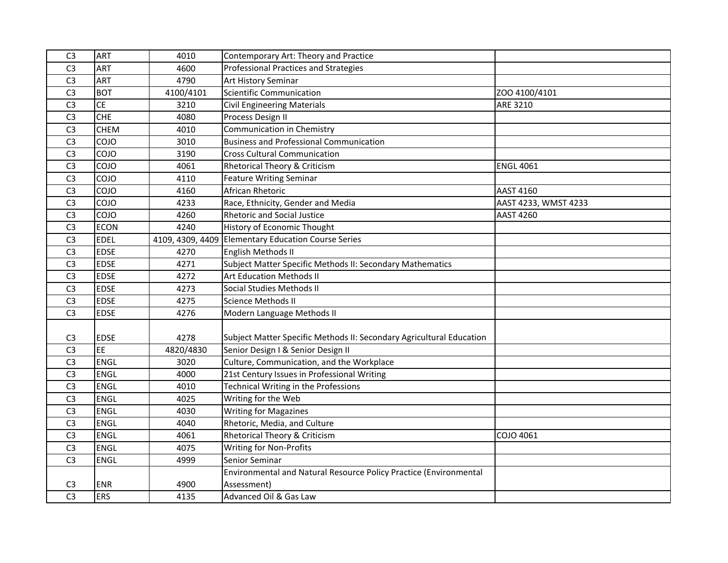| C <sub>3</sub> | <b>ART</b>  | 4010      | Contemporary Art: Theory and Practice                                |                      |
|----------------|-------------|-----------|----------------------------------------------------------------------|----------------------|
| C <sub>3</sub> | <b>ART</b>  | 4600      | Professional Practices and Strategies                                |                      |
| C <sub>3</sub> | <b>ART</b>  | 4790      | <b>Art History Seminar</b>                                           |                      |
| C <sub>3</sub> | <b>BOT</b>  | 4100/4101 | Scientific Communication                                             | ZOO 4100/4101        |
| C <sub>3</sub> | <b>CE</b>   | 3210      | <b>Civil Engineering Materials</b>                                   | ARE 3210             |
| C <sub>3</sub> | <b>CHE</b>  | 4080      | Process Design II                                                    |                      |
| C <sub>3</sub> | <b>CHEM</b> | 4010      | Communication in Chemistry                                           |                      |
| C <sub>3</sub> | COJO        | 3010      | <b>Business and Professional Communication</b>                       |                      |
| C <sub>3</sub> | COJO        | 3190      | <b>Cross Cultural Communication</b>                                  |                      |
| C <sub>3</sub> | COJO        | 4061      | <b>Rhetorical Theory &amp; Criticism</b>                             | <b>ENGL 4061</b>     |
| C <sub>3</sub> | COJO        | 4110      | <b>Feature Writing Seminar</b>                                       |                      |
| C <sub>3</sub> | COJO        | 4160      | African Rhetoric                                                     | <b>AAST 4160</b>     |
| C <sub>3</sub> | COJO        | 4233      | Race, Ethnicity, Gender and Media                                    | AAST 4233, WMST 4233 |
| C <sub>3</sub> | COJO        | 4260      | <b>Rhetoric and Social Justice</b>                                   | <b>AAST 4260</b>     |
| C <sub>3</sub> | <b>ECON</b> | 4240      | History of Economic Thought                                          |                      |
| C <sub>3</sub> | <b>EDEL</b> |           | 4109, 4309, 4409 Elementary Education Course Series                  |                      |
| C <sub>3</sub> | <b>EDSE</b> | 4270      | English Methods II                                                   |                      |
| C <sub>3</sub> | <b>EDSE</b> | 4271      | Subject Matter Specific Methods II: Secondary Mathematics            |                      |
| C <sub>3</sub> | <b>EDSE</b> | 4272      | <b>Art Education Methods II</b>                                      |                      |
| C <sub>3</sub> | <b>EDSE</b> | 4273      | Social Studies Methods II                                            |                      |
| C <sub>3</sub> | <b>EDSE</b> | 4275      | <b>Science Methods II</b>                                            |                      |
| C <sub>3</sub> | <b>EDSE</b> | 4276      | Modern Language Methods II                                           |                      |
|                |             |           |                                                                      |                      |
| C <sub>3</sub> | <b>EDSE</b> | 4278      | Subject Matter Specific Methods II: Secondary Agricultural Education |                      |
| C <sub>3</sub> | <b>EE</b>   | 4820/4830 | Senior Design I & Senior Design II                                   |                      |
| C <sub>3</sub> | <b>ENGL</b> | 3020      | Culture, Communication, and the Workplace                            |                      |
| C <sub>3</sub> | <b>ENGL</b> | 4000      | 21st Century Issues in Professional Writing                          |                      |
| C <sub>3</sub> | <b>ENGL</b> | 4010      | <b>Technical Writing in the Professions</b>                          |                      |
| C <sub>3</sub> | ENGL        | 4025      | Writing for the Web                                                  |                      |
| C <sub>3</sub> | <b>ENGL</b> | 4030      | <b>Writing for Magazines</b>                                         |                      |
| C <sub>3</sub> | <b>ENGL</b> | 4040      | Rhetoric, Media, and Culture                                         |                      |
| C <sub>3</sub> | <b>ENGL</b> | 4061      | Rhetorical Theory & Criticism                                        | COJO 4061            |
| C <sub>3</sub> | <b>ENGL</b> | 4075      | <b>Writing for Non-Profits</b>                                       |                      |
| C <sub>3</sub> | <b>ENGL</b> | 4999      | Senior Seminar                                                       |                      |
|                |             |           | Environmental and Natural Resource Policy Practice (Environmental    |                      |
| C <sub>3</sub> | <b>ENR</b>  | 4900      | Assessment)                                                          |                      |
| C <sub>3</sub> | <b>ERS</b>  | 4135      | Advanced Oil & Gas Law                                               |                      |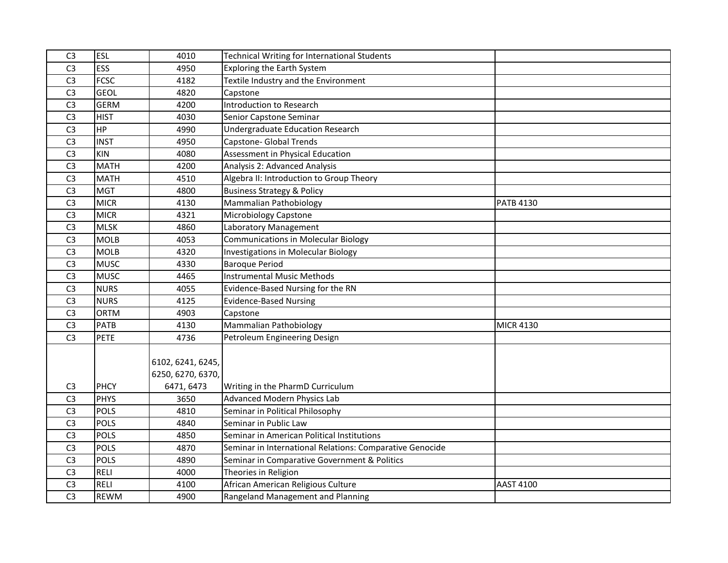| C <sub>3</sub> | <b>ESL</b>  | 4010              | <b>Technical Writing for International Students</b>      |                  |
|----------------|-------------|-------------------|----------------------------------------------------------|------------------|
| C <sub>3</sub> | <b>ESS</b>  | 4950              | <b>Exploring the Earth System</b>                        |                  |
| C <sub>3</sub> | <b>FCSC</b> | 4182              | Textile Industry and the Environment                     |                  |
| C <sub>3</sub> | <b>GEOL</b> | 4820              | Capstone                                                 |                  |
| C <sub>3</sub> | <b>GERM</b> | 4200              | Introduction to Research                                 |                  |
| C <sub>3</sub> | <b>HIST</b> | 4030              | Senior Capstone Seminar                                  |                  |
| C <sub>3</sub> | <b>HP</b>   | 4990              | <b>Undergraduate Education Research</b>                  |                  |
| C <sub>3</sub> | <b>INST</b> | 4950              | <b>Capstone- Global Trends</b>                           |                  |
| C <sub>3</sub> | <b>KIN</b>  | 4080              | Assessment in Physical Education                         |                  |
| C <sub>3</sub> | <b>MATH</b> | 4200              | Analysis 2: Advanced Analysis                            |                  |
| C <sub>3</sub> | <b>MATH</b> | 4510              | Algebra II: Introduction to Group Theory                 |                  |
| C <sub>3</sub> | <b>MGT</b>  | 4800              | <b>Business Strategy &amp; Policy</b>                    |                  |
| C <sub>3</sub> | <b>MICR</b> | 4130              | Mammalian Pathobiology                                   | <b>PATB 4130</b> |
| C <sub>3</sub> | <b>MICR</b> | 4321              | <b>Microbiology Capstone</b>                             |                  |
| C <sub>3</sub> | <b>MLSK</b> | 4860              | Laboratory Management                                    |                  |
| C <sub>3</sub> | <b>MOLB</b> | 4053              | <b>Communications in Molecular Biology</b>               |                  |
| C <sub>3</sub> | <b>MOLB</b> | 4320              | <b>Investigations in Molecular Biology</b>               |                  |
| C <sub>3</sub> | <b>MUSC</b> | 4330              | <b>Baroque Period</b>                                    |                  |
| C <sub>3</sub> | <b>MUSC</b> | 4465              | Instrumental Music Methods                               |                  |
| C <sub>3</sub> | <b>NURS</b> | 4055              | Evidence-Based Nursing for the RN                        |                  |
| C <sub>3</sub> | <b>NURS</b> | 4125              | <b>Evidence-Based Nursing</b>                            |                  |
| C <sub>3</sub> | <b>ORTM</b> | 4903              | Capstone                                                 |                  |
| C <sub>3</sub> | <b>PATB</b> | 4130              | Mammalian Pathobiology                                   | <b>MICR 4130</b> |
| C <sub>3</sub> | <b>PETE</b> | 4736              | Petroleum Engineering Design                             |                  |
|                |             |                   |                                                          |                  |
|                |             | 6102, 6241, 6245, |                                                          |                  |
|                |             | 6250, 6270, 6370, |                                                          |                  |
| C <sub>3</sub> | <b>PHCY</b> | 6471, 6473        | Writing in the PharmD Curriculum                         |                  |
| C <sub>3</sub> | <b>PHYS</b> | 3650              | <b>Advanced Modern Physics Lab</b>                       |                  |
| C <sub>3</sub> | <b>POLS</b> | 4810              | Seminar in Political Philosophy                          |                  |
| C <sub>3</sub> | <b>POLS</b> | 4840              | Seminar in Public Law                                    |                  |
| C <sub>3</sub> | <b>POLS</b> | 4850              | Seminar in American Political Institutions               |                  |
| C <sub>3</sub> | <b>POLS</b> | 4870              | Seminar in International Relations: Comparative Genocide |                  |
| C <sub>3</sub> | <b>POLS</b> | 4890              | Seminar in Comparative Government & Politics             |                  |
| C <sub>3</sub> | <b>RELI</b> | 4000              | Theories in Religion                                     |                  |
| C <sub>3</sub> | <b>RELI</b> | 4100              | African American Religious Culture                       | <b>AAST 4100</b> |
| C <sub>3</sub> | <b>REWM</b> | 4900              | Rangeland Management and Planning                        |                  |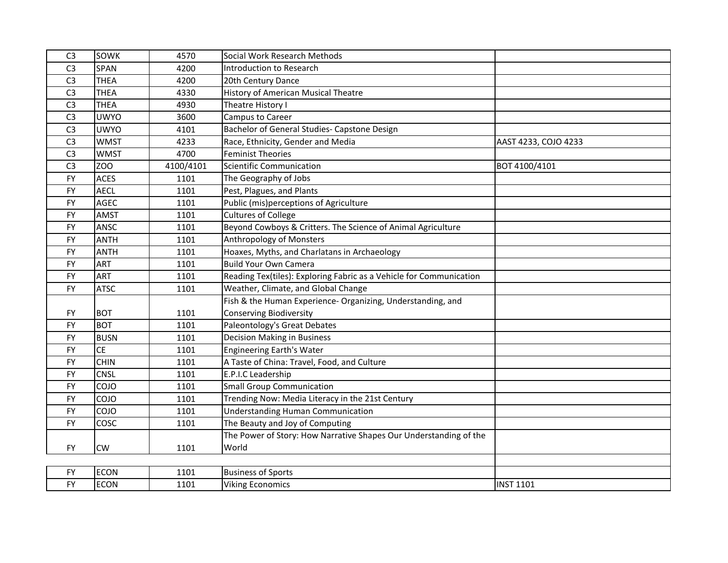| C <sub>3</sub> | SOWK        | 4570      | Social Work Research Methods                                        |                      |
|----------------|-------------|-----------|---------------------------------------------------------------------|----------------------|
| C <sub>3</sub> | <b>SPAN</b> | 4200      | Introduction to Research                                            |                      |
| C <sub>3</sub> | <b>THEA</b> | 4200      | 20th Century Dance                                                  |                      |
| C <sub>3</sub> | <b>THEA</b> | 4330      | <b>History of American Musical Theatre</b>                          |                      |
| C <sub>3</sub> | <b>THEA</b> | 4930      | Theatre History I                                                   |                      |
| C <sub>3</sub> | <b>UWYO</b> | 3600      | Campus to Career                                                    |                      |
| C <sub>3</sub> | <b>UWYO</b> | 4101      | Bachelor of General Studies- Capstone Design                        |                      |
| C <sub>3</sub> | <b>WMST</b> | 4233      | Race, Ethnicity, Gender and Media                                   | AAST 4233, COJO 4233 |
| C <sub>3</sub> | <b>WMST</b> | 4700      | <b>Feminist Theories</b>                                            |                      |
| C <sub>3</sub> | ZOO         | 4100/4101 | <b>Scientific Communication</b>                                     | BOT 4100/4101        |
| <b>FY</b>      | <b>ACES</b> | 1101      | The Geography of Jobs                                               |                      |
| <b>FY</b>      | <b>AECL</b> | 1101      | Pest, Plagues, and Plants                                           |                      |
| <b>FY</b>      | <b>AGEC</b> | 1101      | Public (mis)perceptions of Agriculture                              |                      |
| <b>FY</b>      | <b>AMST</b> | 1101      | <b>Cultures of College</b>                                          |                      |
| <b>FY</b>      | ANSC        | 1101      | Beyond Cowboys & Critters. The Science of Animal Agriculture        |                      |
| <b>FY</b>      | <b>ANTH</b> | 1101      | Anthropology of Monsters                                            |                      |
| <b>FY</b>      | <b>ANTH</b> | 1101      | Hoaxes, Myths, and Charlatans in Archaeology                        |                      |
| <b>FY</b>      | <b>ART</b>  | 1101      | <b>Build Your Own Camera</b>                                        |                      |
| <b>FY</b>      | <b>ART</b>  | 1101      | Reading Tex(tiles): Exploring Fabric as a Vehicle for Communication |                      |
| <b>FY</b>      | <b>ATSC</b> | 1101      | Weather, Climate, and Global Change                                 |                      |
|                |             |           | Fish & the Human Experience- Organizing, Understanding, and         |                      |
| <b>FY</b>      | <b>BOT</b>  | 1101      | <b>Conserving Biodiversity</b>                                      |                      |
| <b>FY</b>      | <b>BOT</b>  | 1101      | Paleontology's Great Debates                                        |                      |
| <b>FY</b>      | <b>BUSN</b> | 1101      | <b>Decision Making in Business</b>                                  |                      |
| <b>FY</b>      | <b>CE</b>   | 1101      | <b>Engineering Earth's Water</b>                                    |                      |
| <b>FY</b>      | <b>CHIN</b> | 1101      | A Taste of China: Travel, Food, and Culture                         |                      |
| <b>FY</b>      | <b>CNSL</b> | 1101      | E.P.I.C Leadership                                                  |                      |
| <b>FY</b>      | COJO        | 1101      | <b>Small Group Communication</b>                                    |                      |
| <b>FY</b>      | <b>COJO</b> | 1101      | Trending Now: Media Literacy in the 21st Century                    |                      |
| <b>FY</b>      | <b>COJO</b> | 1101      | <b>Understanding Human Communication</b>                            |                      |
| <b>FY</b>      | COSC        | 1101      | The Beauty and Joy of Computing                                     |                      |
|                |             |           | The Power of Story: How Narrative Shapes Our Understanding of the   |                      |
| <b>FY</b>      | <b>CW</b>   | 1101      | World                                                               |                      |
|                |             |           |                                                                     |                      |
| <b>FY</b>      | <b>ECON</b> | 1101      | <b>Business of Sports</b>                                           |                      |
| <b>FY</b>      | ECON        | 1101      | <b>Viking Economics</b>                                             | <b>INST 1101</b>     |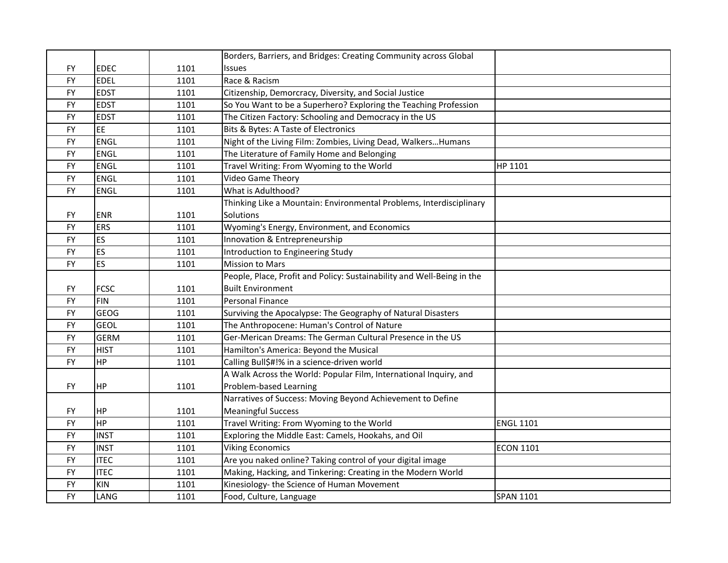|           |             |      | Borders, Barriers, and Bridges: Creating Community across Global       |                  |
|-----------|-------------|------|------------------------------------------------------------------------|------------------|
| <b>FY</b> | <b>EDEC</b> | 1101 | <b>Issues</b>                                                          |                  |
| <b>FY</b> | <b>EDEL</b> | 1101 | Race & Racism                                                          |                  |
| <b>FY</b> | <b>EDST</b> | 1101 | Citizenship, Demorcracy, Diversity, and Social Justice                 |                  |
| <b>FY</b> | <b>EDST</b> | 1101 | So You Want to be a Superhero? Exploring the Teaching Profession       |                  |
| <b>FY</b> | <b>EDST</b> | 1101 | The Citizen Factory: Schooling and Democracy in the US                 |                  |
| <b>FY</b> | <b>EE</b>   | 1101 | Bits & Bytes: A Taste of Electronics                                   |                  |
| <b>FY</b> | <b>ENGL</b> | 1101 | Night of the Living Film: Zombies, Living Dead, Walkers Humans         |                  |
| <b>FY</b> | <b>ENGL</b> | 1101 | The Literature of Family Home and Belonging                            |                  |
| <b>FY</b> | <b>ENGL</b> | 1101 | Travel Writing: From Wyoming to the World                              | HP 1101          |
| <b>FY</b> | <b>ENGL</b> | 1101 | <b>Video Game Theory</b>                                               |                  |
| <b>FY</b> | <b>ENGL</b> | 1101 | What is Adulthood?                                                     |                  |
|           |             |      | Thinking Like a Mountain: Environmental Problems, Interdisciplinary    |                  |
| <b>FY</b> | <b>ENR</b>  | 1101 | Solutions                                                              |                  |
| <b>FY</b> | <b>ERS</b>  | 1101 | Wyoming's Energy, Environment, and Economics                           |                  |
| <b>FY</b> | ES          | 1101 | Innovation & Entrepreneurship                                          |                  |
| <b>FY</b> | ES          | 1101 | Introduction to Engineering Study                                      |                  |
| <b>FY</b> | ES          | 1101 | <b>Mission to Mars</b>                                                 |                  |
|           |             |      | People, Place, Profit and Policy: Sustainability and Well-Being in the |                  |
| <b>FY</b> | <b>FCSC</b> | 1101 | <b>Built Environment</b>                                               |                  |
| <b>FY</b> | <b>FIN</b>  | 1101 | Personal Finance                                                       |                  |
| <b>FY</b> | <b>GEOG</b> | 1101 | Surviving the Apocalypse: The Geography of Natural Disasters           |                  |
| <b>FY</b> | <b>GEOL</b> | 1101 | The Anthropocene: Human's Control of Nature                            |                  |
| <b>FY</b> | <b>GERM</b> | 1101 | Ger-Merican Dreams: The German Cultural Presence in the US             |                  |
| <b>FY</b> | <b>HIST</b> | 1101 | Hamilton's America: Beyond the Musical                                 |                  |
| <b>FY</b> | <b>HP</b>   | 1101 | Calling Bull\$#!% in a science-driven world                            |                  |
|           |             |      | A Walk Across the World: Popular Film, International Inquiry, and      |                  |
| <b>FY</b> | <b>HP</b>   | 1101 | Problem-based Learning                                                 |                  |
|           |             |      | Narratives of Success: Moving Beyond Achievement to Define             |                  |
| <b>FY</b> | HP          | 1101 | <b>Meaningful Success</b>                                              |                  |
| <b>FY</b> | <b>HP</b>   | 1101 | Travel Writing: From Wyoming to the World                              | <b>ENGL 1101</b> |
| <b>FY</b> | <b>INST</b> | 1101 | Exploring the Middle East: Camels, Hookahs, and Oil                    |                  |
| <b>FY</b> | <b>INST</b> | 1101 | <b>Viking Economics</b>                                                | <b>ECON 1101</b> |
| <b>FY</b> | <b>ITEC</b> | 1101 | Are you naked online? Taking control of your digital image             |                  |
| <b>FY</b> | <b>ITEC</b> | 1101 | Making, Hacking, and Tinkering: Creating in the Modern World           |                  |
| <b>FY</b> | <b>KIN</b>  | 1101 | Kinesiology- the Science of Human Movement                             |                  |
| <b>FY</b> | LANG        | 1101 | Food, Culture, Language                                                | <b>SPAN 1101</b> |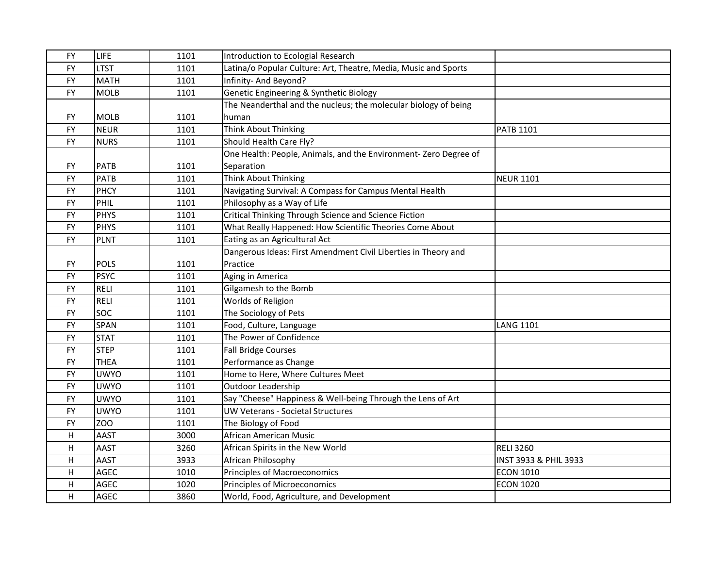| <b>FY</b> | LIFE        | 1101 | Introduction to Ecologial Research                              |                                  |
|-----------|-------------|------|-----------------------------------------------------------------|----------------------------------|
| <b>FY</b> | <b>LTST</b> | 1101 | Latina/o Popular Culture: Art, Theatre, Media, Music and Sports |                                  |
| <b>FY</b> | <b>MATH</b> | 1101 | Infinity- And Beyond?                                           |                                  |
| <b>FY</b> | <b>MOLB</b> | 1101 | Genetic Engineering & Synthetic Biology                         |                                  |
|           |             |      | The Neanderthal and the nucleus; the molecular biology of being |                                  |
| <b>FY</b> | <b>MOLB</b> | 1101 | human                                                           |                                  |
| <b>FY</b> | <b>NEUR</b> | 1101 | <b>Think About Thinking</b>                                     | <b>PATB 1101</b>                 |
| <b>FY</b> | <b>NURS</b> | 1101 | Should Health Care Fly?                                         |                                  |
|           |             |      | One Health: People, Animals, and the Environment-Zero Degree of |                                  |
| <b>FY</b> | <b>PATB</b> | 1101 | Separation                                                      |                                  |
| <b>FY</b> | <b>PATB</b> | 1101 | Think About Thinking                                            | <b>NEUR 1101</b>                 |
| <b>FY</b> | <b>PHCY</b> | 1101 | Navigating Survival: A Compass for Campus Mental Health         |                                  |
| <b>FY</b> | PHIL        | 1101 | Philosophy as a Way of Life                                     |                                  |
| <b>FY</b> | <b>PHYS</b> | 1101 | Critical Thinking Through Science and Science Fiction           |                                  |
| <b>FY</b> | <b>PHYS</b> | 1101 | What Really Happened: How Scientific Theories Come About        |                                  |
| <b>FY</b> | <b>PLNT</b> | 1101 | Eating as an Agricultural Act                                   |                                  |
|           |             |      | Dangerous Ideas: First Amendment Civil Liberties in Theory and  |                                  |
| <b>FY</b> | <b>POLS</b> | 1101 | Practice                                                        |                                  |
| <b>FY</b> | <b>PSYC</b> | 1101 | Aging in America                                                |                                  |
| <b>FY</b> | <b>RELI</b> | 1101 | Gilgamesh to the Bomb                                           |                                  |
| <b>FY</b> | <b>RELI</b> | 1101 | Worlds of Religion                                              |                                  |
| <b>FY</b> | <b>SOC</b>  | 1101 | The Sociology of Pets                                           |                                  |
| <b>FY</b> | <b>SPAN</b> | 1101 | Food, Culture, Language                                         | <b>LANG 1101</b>                 |
| <b>FY</b> | <b>STAT</b> | 1101 | The Power of Confidence                                         |                                  |
| <b>FY</b> | <b>STEP</b> | 1101 | <b>Fall Bridge Courses</b>                                      |                                  |
| <b>FY</b> | <b>THEA</b> | 1101 | Performance as Change                                           |                                  |
| <b>FY</b> | <b>UWYO</b> | 1101 | Home to Here, Where Cultures Meet                               |                                  |
| <b>FY</b> | <b>UWYO</b> | 1101 | <b>Outdoor Leadership</b>                                       |                                  |
| <b>FY</b> | <b>UWYO</b> | 1101 | Say "Cheese" Happiness & Well-being Through the Lens of Art     |                                  |
| <b>FY</b> | <b>UWYO</b> | 1101 | <b>UW Veterans - Societal Structures</b>                        |                                  |
| <b>FY</b> | ZOO         | 1101 | The Biology of Food                                             |                                  |
| H         | AAST        | 3000 | African American Music                                          |                                  |
| H         | AAST        | 3260 | African Spirits in the New World                                | <b>RELI 3260</b>                 |
| H         | <b>AAST</b> | 3933 | African Philosophy                                              | <b>INST 3933 &amp; PHIL 3933</b> |
| H         | <b>AGEC</b> | 1010 | <b>Principles of Macroeconomics</b>                             | <b>ECON 1010</b>                 |
| H         | <b>AGEC</b> | 1020 | <b>Principles of Microeconomics</b>                             | <b>ECON 1020</b>                 |
| H         | <b>AGEC</b> | 3860 | World, Food, Agriculture, and Development                       |                                  |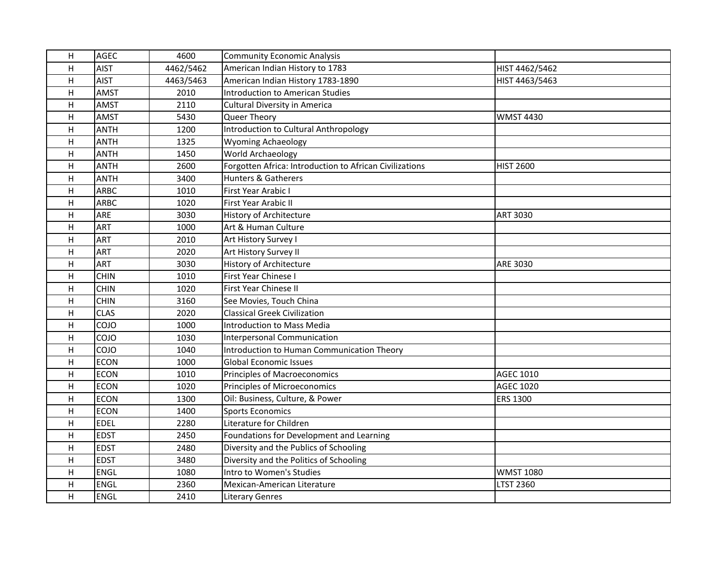| H  | <b>AGEC</b> | 4600      | <b>Community Economic Analysis</b>                      |                  |
|----|-------------|-----------|---------------------------------------------------------|------------------|
| н  | <b>AIST</b> | 4462/5462 | American Indian History to 1783                         | HIST 4462/5462   |
| H  | <b>AIST</b> | 4463/5463 | American Indian History 1783-1890                       | HIST 4463/5463   |
| н  | AMST        | 2010      | <b>Introduction to American Studies</b>                 |                  |
| H  | <b>AMST</b> | 2110      | <b>Cultural Diversity in America</b>                    |                  |
| H  | <b>AMST</b> | 5430      | Queer Theory                                            | <b>WMST 4430</b> |
| н  | <b>ANTH</b> | 1200      | Introduction to Cultural Anthropology                   |                  |
| H  | <b>ANTH</b> | 1325      | <b>Wyoming Achaeology</b>                               |                  |
| Н  | <b>ANTH</b> | 1450      | World Archaeology                                       |                  |
| H  | <b>ANTH</b> | 2600      | Forgotten Africa: Introduction to African Civilizations | <b>HIST 2600</b> |
| H  | <b>ANTH</b> | 3400      | <b>Hunters &amp; Gatherers</b>                          |                  |
| H  | <b>ARBC</b> | 1010      | First Year Arabic I                                     |                  |
| н  | <b>ARBC</b> | 1020      | First Year Arabic II                                    |                  |
| Н  | ARE         | 3030      | History of Architecture                                 | <b>ART 3030</b>  |
| H  | <b>ART</b>  | 1000      | Art & Human Culture                                     |                  |
| H  | <b>ART</b>  | 2010      | Art History Survey I                                    |                  |
| Η  | <b>ART</b>  | 2020      | Art History Survey II                                   |                  |
| Н  | <b>ART</b>  | 3030      | History of Architecture                                 | <b>ARE 3030</b>  |
| H  | <b>CHIN</b> | 1010      | First Year Chinese I                                    |                  |
| н  | <b>CHIN</b> | 1020      | First Year Chinese II                                   |                  |
| Η  | <b>CHIN</b> | 3160      | See Movies, Touch China                                 |                  |
| Н  | <b>CLAS</b> | 2020      | <b>Classical Greek Civilization</b>                     |                  |
| Н  | COJO        | 1000      | Introduction to Mass Media                              |                  |
| H  | COJO        | 1030      | <b>Interpersonal Communication</b>                      |                  |
| н  | COJO        | 1040      | Introduction to Human Communication Theory              |                  |
| Η  | <b>ECON</b> | 1000      | <b>Global Economic Issues</b>                           |                  |
| Н  | <b>ECON</b> | 1010      | <b>Principles of Macroeconomics</b>                     | <b>AGEC 1010</b> |
| Н  | <b>ECON</b> | 1020      | Principles of Microeconomics                            | <b>AGEC 1020</b> |
| H  | <b>ECON</b> | 1300      | Oil: Business, Culture, & Power                         | <b>ERS 1300</b>  |
| H  | <b>ECON</b> | 1400      | <b>Sports Economics</b>                                 |                  |
| H  | <b>EDEL</b> | 2280      | Literature for Children                                 |                  |
| H  | <b>EDST</b> | 2450      | Foundations for Development and Learning                |                  |
| H  | <b>EDST</b> | 2480      | Diversity and the Publics of Schooling                  |                  |
| H  | <b>EDST</b> | 3480      | Diversity and the Politics of Schooling                 |                  |
| H. | <b>ENGL</b> | 1080      | Intro to Women's Studies                                | <b>WMST 1080</b> |
| H  | ENGL        | 2360      | Mexican-American Literature                             | LTST 2360        |
| H  | ENGL        | 2410      | <b>Literary Genres</b>                                  |                  |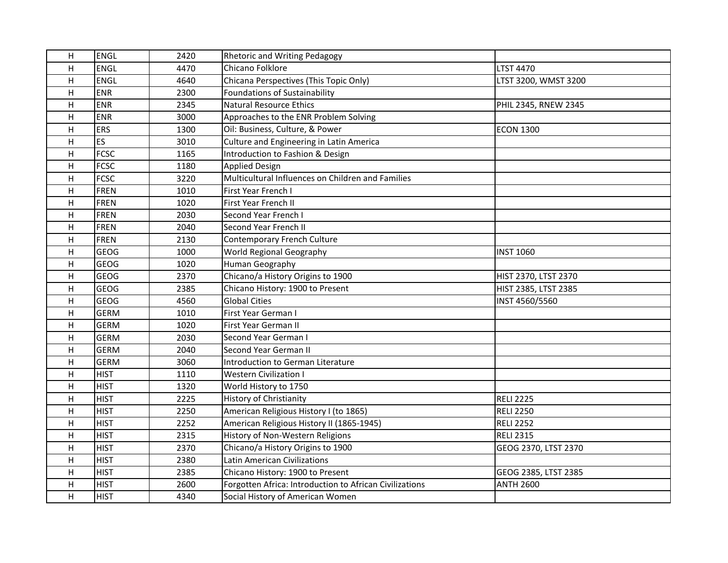| H | <b>ENGL</b> | 2420 | <b>Rhetoric and Writing Pedagogy</b>                    |                      |
|---|-------------|------|---------------------------------------------------------|----------------------|
| H | <b>ENGL</b> | 4470 | Chicano Folklore                                        | <b>LTST 4470</b>     |
| H | <b>ENGL</b> | 4640 | Chicana Perspectives (This Topic Only)                  | LTST 3200, WMST 3200 |
| H | <b>ENR</b>  | 2300 | <b>Foundations of Sustainability</b>                    |                      |
| H | <b>ENR</b>  | 2345 | <b>Natural Resource Ethics</b>                          | PHIL 2345, RNEW 2345 |
| H | <b>ENR</b>  | 3000 | Approaches to the ENR Problem Solving                   |                      |
| H | <b>ERS</b>  | 1300 | Oil: Business, Culture, & Power                         | <b>ECON 1300</b>     |
| H | <b>ES</b>   | 3010 | Culture and Engineering in Latin America                |                      |
| H | <b>FCSC</b> | 1165 | Introduction to Fashion & Design                        |                      |
| H | <b>FCSC</b> | 1180 | <b>Applied Design</b>                                   |                      |
| H | <b>FCSC</b> | 3220 | Multicultural Influences on Children and Families       |                      |
| H | <b>FREN</b> | 1010 | <b>First Year French I</b>                              |                      |
| H | <b>FREN</b> | 1020 | First Year French II                                    |                      |
| H | FREN        | 2030 | Second Year French I                                    |                      |
| H | FREN        | 2040 | Second Year French II                                   |                      |
| H | <b>FREN</b> | 2130 | Contemporary French Culture                             |                      |
| H | <b>GEOG</b> | 1000 | World Regional Geography                                | <b>INST 1060</b>     |
| H | <b>GEOG</b> | 1020 | Human Geography                                         |                      |
| H | <b>GEOG</b> | 2370 | Chicano/a History Origins to 1900                       | HIST 2370, LTST 2370 |
| H | <b>GEOG</b> | 2385 | Chicano History: 1900 to Present                        | HIST 2385, LTST 2385 |
| H | <b>GEOG</b> | 4560 | <b>Global Cities</b>                                    | INST 4560/5560       |
| H | <b>GERM</b> | 1010 | First Year German I                                     |                      |
| H | <b>GERM</b> | 1020 | First Year German II                                    |                      |
| H | <b>GERM</b> | 2030 | Second Year German I                                    |                      |
| H | <b>GERM</b> | 2040 | Second Year German II                                   |                      |
| H | <b>GERM</b> | 3060 | Introduction to German Literature                       |                      |
| H | <b>HIST</b> | 1110 | Western Civilization I                                  |                      |
| H | <b>HIST</b> | 1320 | World History to 1750                                   |                      |
| H | <b>HIST</b> | 2225 | History of Christianity                                 | <b>RELI 2225</b>     |
| H | <b>HIST</b> | 2250 | American Religious History I (to 1865)                  | <b>RELI 2250</b>     |
| H | <b>HIST</b> | 2252 | American Religious History II (1865-1945)               | <b>RELI 2252</b>     |
| H | <b>HIST</b> | 2315 | History of Non-Western Religions                        | <b>RELI 2315</b>     |
| H | <b>HIST</b> | 2370 | Chicano/a History Origins to 1900                       | GEOG 2370, LTST 2370 |
| H | <b>HIST</b> | 2380 | Latin American Civilizations                            |                      |
| H | <b>HIST</b> | 2385 | Chicano History: 1900 to Present                        | GEOG 2385, LTST 2385 |
| H | <b>HIST</b> | 2600 | Forgotten Africa: Introduction to African Civilizations | <b>ANTH 2600</b>     |
| H | <b>HIST</b> | 4340 | Social History of American Women                        |                      |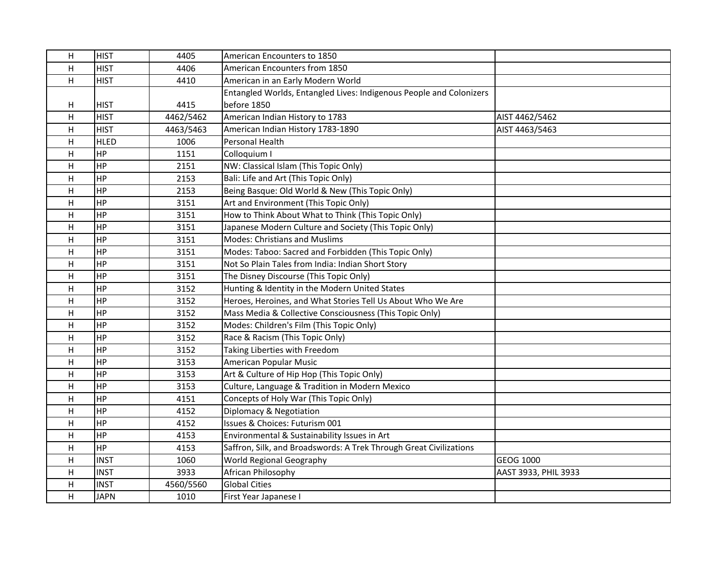| H  | <b>HIST</b> | 4405      | American Encounters to 1850                                         |                      |
|----|-------------|-----------|---------------------------------------------------------------------|----------------------|
| н  | <b>HIST</b> | 4406      | American Encounters from 1850                                       |                      |
| H  | <b>HIST</b> | 4410      | American in an Early Modern World                                   |                      |
|    |             |           | Entangled Worlds, Entangled Lives: Indigenous People and Colonizers |                      |
| н  | <b>HIST</b> | 4415      | before 1850                                                         |                      |
| H  | <b>HIST</b> | 4462/5462 | American Indian History to 1783                                     | AIST 4462/5462       |
| н  | <b>HIST</b> | 4463/5463 | American Indian History 1783-1890                                   | AIST 4463/5463       |
| H  | <b>HLED</b> | 1006      | Personal Health                                                     |                      |
| н  | HP          | 1151      | Colloquium I                                                        |                      |
| H  | HP          | 2151      | NW: Classical Islam (This Topic Only)                               |                      |
| H  | <b>HP</b>   | 2153      | Bali: Life and Art (This Topic Only)                                |                      |
| H. | HP          | 2153      | Being Basque: Old World & New (This Topic Only)                     |                      |
| H  | <b>HP</b>   | 3151      | Art and Environment (This Topic Only)                               |                      |
| H  | HP          | 3151      | How to Think About What to Think (This Topic Only)                  |                      |
| H. | HP          | 3151      | Japanese Modern Culture and Society (This Topic Only)               |                      |
| H  | <b>HP</b>   | 3151      | <b>Modes: Christians and Muslims</b>                                |                      |
| Η  | HP          | 3151      | Modes: Taboo: Sacred and Forbidden (This Topic Only)                |                      |
| H  | <b>HP</b>   | 3151      | Not So Plain Tales from India: Indian Short Story                   |                      |
| H  | HP          | 3151      | The Disney Discourse (This Topic Only)                              |                      |
| н  | HP          | 3152      | Hunting & Identity in the Modern United States                      |                      |
| H  | <b>HP</b>   | 3152      | Heroes, Heroines, and What Stories Tell Us About Who We Are         |                      |
| H  | HP          | 3152      | Mass Media & Collective Consciousness (This Topic Only)             |                      |
| Н  | <b>HP</b>   | 3152      | Modes: Children's Film (This Topic Only)                            |                      |
| H  | HP          | 3152      | Race & Racism (This Topic Only)                                     |                      |
| н  | HP          | 3152      | Taking Liberties with Freedom                                       |                      |
| H. | <b>HP</b>   | 3153      | American Popular Music                                              |                      |
| Н  | <b>HP</b>   | 3153      | Art & Culture of Hip Hop (This Topic Only)                          |                      |
| Н  | HP          | 3153      | Culture, Language & Tradition in Modern Mexico                      |                      |
| H  | HP          | 4151      | Concepts of Holy War (This Topic Only)                              |                      |
| Η  | <b>HP</b>   | 4152      | Diplomacy & Negotiation                                             |                      |
| H. | <b>HP</b>   | 4152      | Issues & Choices: Futurism 001                                      |                      |
| H  | <b>HP</b>   | 4153      | Environmental & Sustainability Issues in Art                        |                      |
| H  | <b>HP</b>   | 4153      | Saffron, Silk, and Broadswords: A Trek Through Great Civilizations  |                      |
| H  | <b>INST</b> | 1060      | World Regional Geography                                            | GEOG 1000            |
| H. | <b>INST</b> | 3933      | African Philosophy                                                  | AAST 3933, PHIL 3933 |
| H  | <b>INST</b> | 4560/5560 | <b>Global Cities</b>                                                |                      |
| H  | <b>JAPN</b> | 1010      | First Year Japanese I                                               |                      |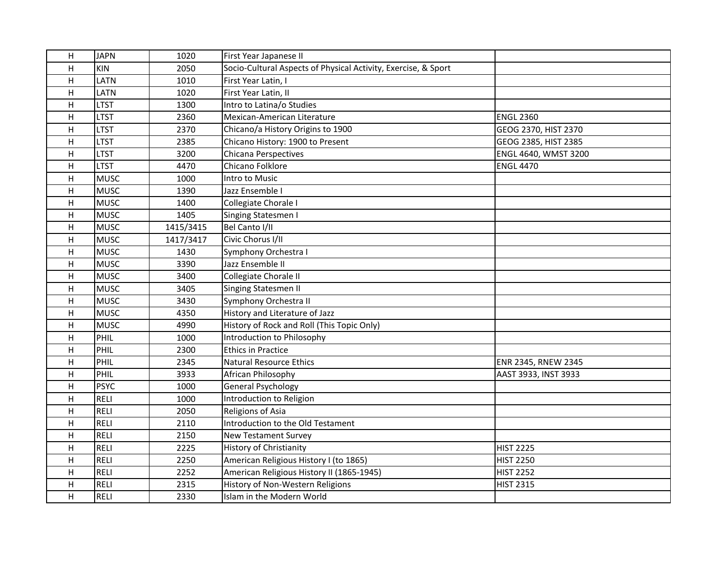| H | <b>JAPN</b> | 1020      | First Year Japanese II                                         |                      |
|---|-------------|-----------|----------------------------------------------------------------|----------------------|
| H | <b>KIN</b>  | 2050      | Socio-Cultural Aspects of Physical Activity, Exercise, & Sport |                      |
| H | <b>LATN</b> | 1010      | First Year Latin, I                                            |                      |
| H | <b>LATN</b> | 1020      | First Year Latin, II                                           |                      |
| H | <b>LTST</b> | 1300      | Intro to Latina/o Studies                                      |                      |
| H | <b>LTST</b> | 2360      | Mexican-American Literature                                    | <b>ENGL 2360</b>     |
| H | <b>LTST</b> | 2370      | Chicano/a History Origins to 1900                              | GEOG 2370, HIST 2370 |
| H | <b>LTST</b> | 2385      | Chicano History: 1900 to Present                               | GEOG 2385, HIST 2385 |
| H | <b>LTST</b> | 3200      | Chicana Perspectives                                           | ENGL 4640, WMST 3200 |
| H | <b>LTST</b> | 4470      | Chicano Folklore                                               | <b>ENGL 4470</b>     |
| H | <b>MUSC</b> | 1000      | Intro to Music                                                 |                      |
| H | <b>MUSC</b> | 1390      | Jazz Ensemble I                                                |                      |
| H | <b>MUSC</b> | 1400      | Collegiate Chorale I                                           |                      |
| H | <b>MUSC</b> | 1405      | Singing Statesmen I                                            |                      |
| H | <b>MUSC</b> | 1415/3415 | Bel Canto I/II                                                 |                      |
| H | <b>MUSC</b> | 1417/3417 | Civic Chorus I/II                                              |                      |
| H | <b>MUSC</b> | 1430      | Symphony Orchestra I                                           |                      |
| H | <b>MUSC</b> | 3390      | Jazz Ensemble II                                               |                      |
| H | <b>MUSC</b> | 3400      | Collegiate Chorale II                                          |                      |
| H | <b>MUSC</b> | 3405      | <b>Singing Statesmen II</b>                                    |                      |
| H | <b>MUSC</b> | 3430      | Symphony Orchestra II                                          |                      |
| H | <b>MUSC</b> | 4350      | History and Literature of Jazz                                 |                      |
| H | <b>MUSC</b> | 4990      | History of Rock and Roll (This Topic Only)                     |                      |
| H | PHIL        | 1000      | Introduction to Philosophy                                     |                      |
| H | PHIL        | 2300      | <b>Ethics in Practice</b>                                      |                      |
| H | PHIL        | 2345      | Natural Resource Ethics                                        | ENR 2345, RNEW 2345  |
| H | PHIL        | 3933      | African Philosophy                                             | AAST 3933, INST 3933 |
| H | <b>PSYC</b> | 1000      | <b>General Psychology</b>                                      |                      |
| H | <b>RELI</b> | 1000      | Introduction to Religion                                       |                      |
| H | <b>RELI</b> | 2050      | <b>Religions of Asia</b>                                       |                      |
| H | <b>RELI</b> | 2110      | Introduction to the Old Testament                              |                      |
| H | <b>RELI</b> | 2150      | <b>New Testament Survey</b>                                    |                      |
| H | <b>RELI</b> | 2225      | <b>History of Christianity</b>                                 | <b>HIST 2225</b>     |
| H | <b>RELI</b> | 2250      | American Religious History I (to 1865)                         | <b>HIST 2250</b>     |
| H | <b>RELI</b> | 2252      | American Religious History II (1865-1945)                      | <b>HIST 2252</b>     |
| H | <b>RELI</b> | 2315      | History of Non-Western Religions                               | <b>HIST 2315</b>     |
| H | <b>RELI</b> | 2330      | Islam in the Modern World                                      |                      |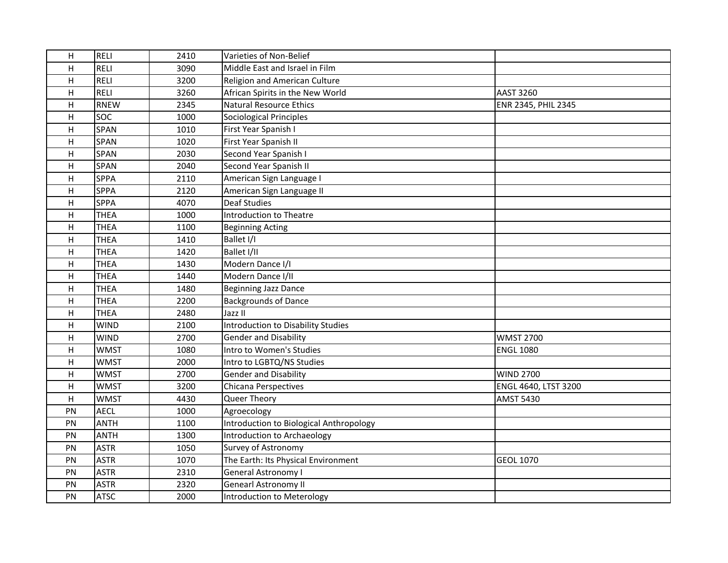| H  | <b>RELI</b> | 2410 | Varieties of Non-Belief                 |                      |
|----|-------------|------|-----------------------------------------|----------------------|
| H  | <b>RELI</b> | 3090 | Middle East and Israel in Film          |                      |
| H  | <b>RELI</b> | 3200 | <b>Religion and American Culture</b>    |                      |
| H  | <b>RELI</b> | 3260 | African Spirits in the New World        | <b>AAST 3260</b>     |
| H  | <b>RNEW</b> | 2345 | Natural Resource Ethics                 | ENR 2345, PHIL 2345  |
| H  | <b>SOC</b>  | 1000 | Sociological Principles                 |                      |
| H  | <b>SPAN</b> | 1010 | First Year Spanish I                    |                      |
| H  | <b>SPAN</b> | 1020 | First Year Spanish II                   |                      |
| H  | <b>SPAN</b> | 2030 | Second Year Spanish I                   |                      |
| H  | <b>SPAN</b> | 2040 | Second Year Spanish II                  |                      |
| H  | <b>SPPA</b> | 2110 | American Sign Language I                |                      |
| H  | <b>SPPA</b> | 2120 | American Sign Language II               |                      |
| H  | <b>SPPA</b> | 4070 | <b>Deaf Studies</b>                     |                      |
| H  | <b>THEA</b> | 1000 | Introduction to Theatre                 |                      |
| H  | <b>THEA</b> | 1100 | <b>Beginning Acting</b>                 |                      |
| H  | <b>THEA</b> | 1410 | Ballet I/I                              |                      |
| H  | <b>THEA</b> | 1420 | Ballet I/II                             |                      |
| H  | <b>THEA</b> | 1430 | Modern Dance I/I                        |                      |
| H  | <b>THEA</b> | 1440 | Modern Dance I/II                       |                      |
| H  | <b>THEA</b> | 1480 | <b>Beginning Jazz Dance</b>             |                      |
| H  | <b>THEA</b> | 2200 | <b>Backgrounds of Dance</b>             |                      |
| H  | <b>THEA</b> | 2480 | Jazz II                                 |                      |
| H  | <b>WIND</b> | 2100 | Introduction to Disability Studies      |                      |
| H  | <b>WIND</b> | 2700 | <b>Gender and Disability</b>            | <b>WMST 2700</b>     |
| H  | <b>WMST</b> | 1080 | Intro to Women's Studies                | <b>ENGL 1080</b>     |
| H  | <b>WMST</b> | 2000 | Intro to LGBTQ/NS Studies               |                      |
| H  | <b>WMST</b> | 2700 | <b>Gender and Disability</b>            | <b>WIND 2700</b>     |
| H  | <b>WMST</b> | 3200 | Chicana Perspectives                    | ENGL 4640, LTST 3200 |
| H  | <b>WMST</b> | 4430 | Queer Theory                            | <b>AMST 5430</b>     |
| PN | <b>AECL</b> | 1000 | Agroecology                             |                      |
| PN | <b>ANTH</b> | 1100 | Introduction to Biological Anthropology |                      |
| PN | <b>ANTH</b> | 1300 | Introduction to Archaeology             |                      |
| PN | <b>ASTR</b> | 1050 | Survey of Astronomy                     |                      |
| PN | <b>ASTR</b> | 1070 | The Earth: Its Physical Environment     | <b>GEOL 1070</b>     |
| PN | <b>ASTR</b> | 2310 | General Astronomy I                     |                      |
| PN | <b>ASTR</b> | 2320 | <b>Genearl Astronomy II</b>             |                      |
| PN | <b>ATSC</b> | 2000 | Introduction to Meterology              |                      |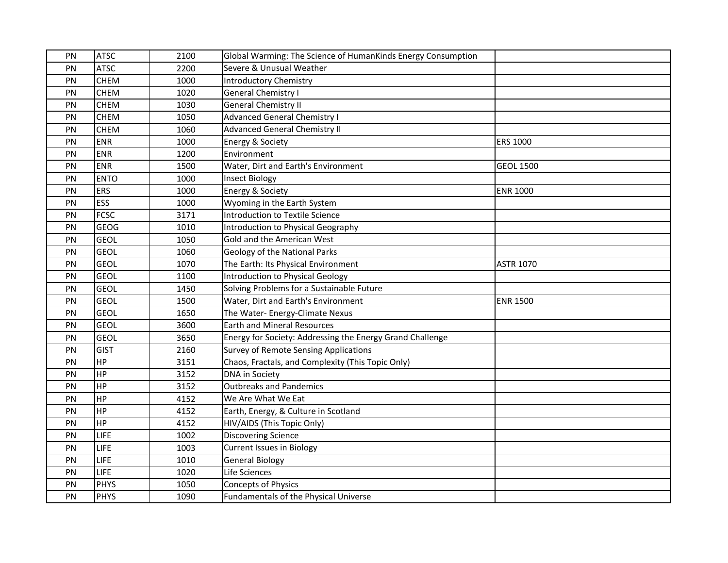| PN | <b>ATSC</b> | 2100 | Global Warming: The Science of HumanKinds Energy Consumption |                  |
|----|-------------|------|--------------------------------------------------------------|------------------|
| PN | <b>ATSC</b> | 2200 | Severe & Unusual Weather                                     |                  |
| PN | <b>CHEM</b> | 1000 | <b>Introductory Chemistry</b>                                |                  |
| PN | <b>CHEM</b> | 1020 | <b>General Chemistry I</b>                                   |                  |
| PN | <b>CHEM</b> | 1030 | <b>General Chemistry II</b>                                  |                  |
| PN | <b>CHEM</b> | 1050 | <b>Advanced General Chemistry I</b>                          |                  |
| PN | <b>CHEM</b> | 1060 | <b>Advanced General Chemistry II</b>                         |                  |
| PN | <b>ENR</b>  | 1000 | Energy & Society                                             | <b>ERS 1000</b>  |
| PN | <b>ENR</b>  | 1200 | Environment                                                  |                  |
| PN | <b>ENR</b>  | 1500 | Water, Dirt and Earth's Environment                          | <b>GEOL 1500</b> |
| PN | <b>ENTO</b> | 1000 | <b>Insect Biology</b>                                        |                  |
| PN | <b>ERS</b>  | 1000 | Energy & Society                                             | <b>ENR 1000</b>  |
| PN | ESS         | 1000 | Wyoming in the Earth System                                  |                  |
| PN | <b>FCSC</b> | 3171 | Introduction to Textile Science                              |                  |
| PN | <b>GEOG</b> | 1010 | Introduction to Physical Geography                           |                  |
| PN | <b>GEOL</b> | 1050 | Gold and the American West                                   |                  |
| PN | <b>GEOL</b> | 1060 | Geology of the National Parks                                |                  |
| PN | <b>GEOL</b> | 1070 | The Earth: Its Physical Environment                          | <b>ASTR 1070</b> |
| PN | <b>GEOL</b> | 1100 | <b>Introduction to Physical Geology</b>                      |                  |
| PN | <b>GEOL</b> | 1450 | Solving Problems for a Sustainable Future                    |                  |
| PN | <b>GEOL</b> | 1500 | Water, Dirt and Earth's Environment                          | <b>ENR 1500</b>  |
| PN | <b>GEOL</b> | 1650 | The Water- Energy-Climate Nexus                              |                  |
| PN | <b>GEOL</b> | 3600 | <b>Earth and Mineral Resources</b>                           |                  |
| PN | <b>GEOL</b> | 3650 | Energy for Society: Addressing the Energy Grand Challenge    |                  |
| PN | <b>GIST</b> | 2160 | <b>Survey of Remote Sensing Applications</b>                 |                  |
| PN | <b>HP</b>   | 3151 | Chaos, Fractals, and Complexity (This Topic Only)            |                  |
| PN | <b>HP</b>   | 3152 | DNA in Society                                               |                  |
| PN | HP          | 3152 | <b>Outbreaks and Pandemics</b>                               |                  |
| PN | <b>HP</b>   | 4152 | We Are What We Eat                                           |                  |
| PN | <b>HP</b>   | 4152 | Earth, Energy, & Culture in Scotland                         |                  |
| PN | <b>HP</b>   | 4152 | HIV/AIDS (This Topic Only)                                   |                  |
| PN | <b>LIFE</b> | 1002 | <b>Discovering Science</b>                                   |                  |
| PN | <b>LIFE</b> | 1003 | <b>Current Issues in Biology</b>                             |                  |
| PN | LIFE        | 1010 | <b>General Biology</b>                                       |                  |
| PN | LIFE        | 1020 | Life Sciences                                                |                  |
| PN | <b>PHYS</b> | 1050 | <b>Concepts of Physics</b>                                   |                  |
| PN | <b>PHYS</b> | 1090 | Fundamentals of the Physical Universe                        |                  |